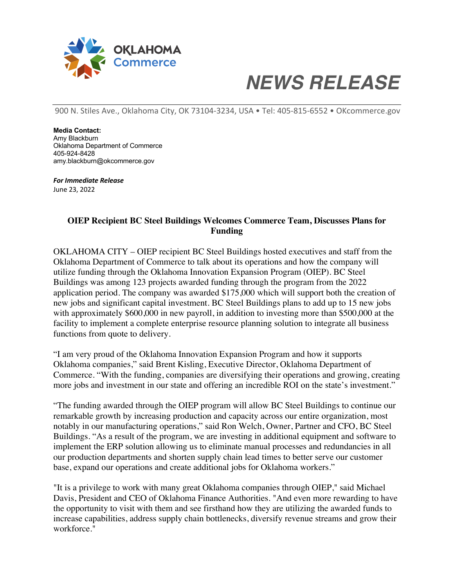

## *NEWS RELEASE*

900 N. Stiles Ave., Oklahoma City, OK 73104-3234, USA • Tel: 405-815-6552 • OKcommerce.gov

**Media Contact:** Amy Blackburn Oklahoma Department of Commerce 405-924-8428 amy.blackburn@okcommerce.gov

*For Immediate Release* June 23, 2022

## **OIEP Recipient BC Steel Buildings Welcomes Commerce Team, Discusses Plans for Funding**

OKLAHOMA CITY – OIEP recipient BC Steel Buildings hosted executives and staff from the Oklahoma Department of Commerce to talk about its operations and how the company will utilize funding through the Oklahoma Innovation Expansion Program (OIEP). BC Steel Buildings was among 123 projects awarded funding through the program from the 2022 application period. The company was awarded \$175,000 which will support both the creation of new jobs and significant capital investment. BC Steel Buildings plans to add up to 15 new jobs with approximately \$600,000 in new payroll, in addition to investing more than \$500,000 at the facility to implement a complete enterprise resource planning solution to integrate all business functions from quote to delivery.

"I am very proud of the Oklahoma Innovation Expansion Program and how it supports Oklahoma companies," said Brent Kisling, Executive Director, Oklahoma Department of Commerce. "With the funding, companies are diversifying their operations and growing, creating more jobs and investment in our state and offering an incredible ROI on the state's investment."

"The funding awarded through the OIEP program will allow BC Steel Buildings to continue our remarkable growth by increasing production and capacity across our entire organization, most notably in our manufacturing operations," said Ron Welch, Owner, Partner and CFO, BC Steel Buildings. "As a result of the program, we are investing in additional equipment and software to implement the ERP solution allowing us to eliminate manual processes and redundancies in all our production departments and shorten supply chain lead times to better serve our customer base, expand our operations and create additional jobs for Oklahoma workers."

"It is a privilege to work with many great Oklahoma companies through OIEP," said Michael Davis, President and CEO of Oklahoma Finance Authorities. "And even more rewarding to have the opportunity to visit with them and see firsthand how they are utilizing the awarded funds to increase capabilities, address supply chain bottlenecks, diversify revenue streams and grow their workforce."